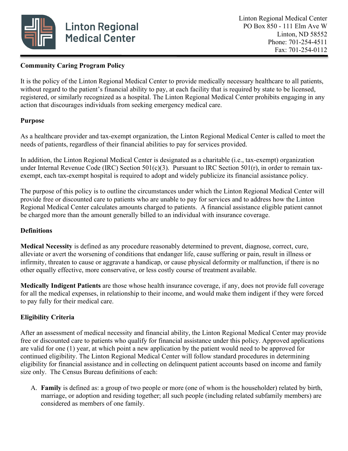

## **Community Caring Program Policy**

It is the policy of the Linton Regional Medical Center to provide medically necessary healthcare to all patients, without regard to the patient's financial ability to pay, at each facility that is required by state to be licensed, registered, or similarly recognized as a hospital. The Linton Regional Medical Center prohibits engaging in any action that discourages individuals from seeking emergency medical care.

## **Purpose**

As a healthcare provider and tax-exempt organization, the Linton Regional Medical Center is called to meet the needs of patients, regardless of their financial abilities to pay for services provided.

In addition, the Linton Regional Medical Center is designated as a charitable (i.e., tax-exempt) organization under Internal Revenue Code (IRC) Section 501(c)(3). Pursuant to IRC Section 501(r), in order to remain taxexempt, each tax-exempt hospital is required to adopt and widely publicize its financial assistance policy.

The purpose of this policy is to outline the circumstances under which the Linton Regional Medical Center will provide free or discounted care to patients who are unable to pay for services and to address how the Linton Regional Medical Center calculates amounts charged to patients. A financial assistance eligible patient cannot be charged more than the amount generally billed to an individual with insurance coverage.

#### **Definitions**

**Medical Necessity** is defined as any procedure reasonably determined to prevent, diagnose, correct, cure, alleviate or avert the worsening of conditions that endanger life, cause suffering or pain, result in illness or infirmity, threaten to cause or aggravate a handicap, or cause physical deformity or malfunction, if there is no other equally effective, more conservative, or less costly course of treatment available.

**Medically Indigent Patients** are those whose health insurance coverage, if any, does not provide full coverage for all the medical expenses, in relationship to their income, and would make them indigent if they were forced to pay fully for their medical care.

# **Eligibility Criteria**

After an assessment of medical necessity and financial ability, the Linton Regional Medical Center may provide free or discounted care to patients who qualify for financial assistance under this policy. Approved applications are valid for one (1) year, at which point a new application by the patient would need to be approved for continued eligibility. The Linton Regional Medical Center will follow standard procedures in determining eligibility for financial assistance and in collecting on delinquent patient accounts based on income and family size only. The Census Bureau definitions of each:

A. **Family** is defined as: a group of two people or more (one of whom is the householder) related by birth, marriage, or adoption and residing together; all such people (including related subfamily members) are considered as members of one family.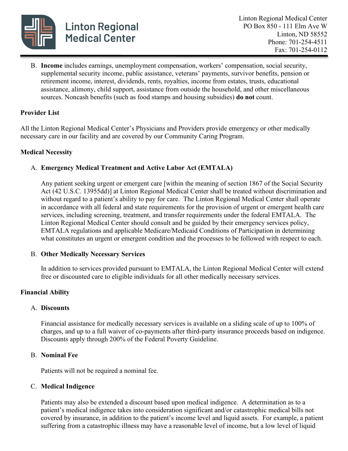

B. **Income** includes earnings, unemployment compensation, workers' compensation, social security, supplemental security income, public assistance, veterans' payments, survivor benefits, pension or retirement income, interest, dividends, rents, royalties, income from estates, trusts, educational assistance, alimony, child support, assistance from outside the household, and other miscellaneous sources. Noncash benefits (such as food stamps and housing subsidies) **do not** count.

### **Provider List**

All the Linton Regional Medical Center's Physicians and Providers provide emergency or other medically necessary care in our facility and are covered by our Community Caring Program.

#### **Medical Necessity**

## A. **Emergency Medical Treatment and Active Labor Act (EMTALA)**

Any patient seeking urgent or emergent care [within the meaning of section 1867 of the Social Security Act (42 U.S.C. 13955dd)] at Linton Regional Medical Center shall be treated without discrimination and without regard to a patient's ability to pay for care. The Linton Regional Medical Center shall operate in accordance with all federal and state requirements for the provision of urgent or emergent health care services, including screening, treatment, and transfer requirements under the federal EMTALA. The Linton Regional Medical Center should consult and be guided by their emergency services policy, EMTALA regulations and applicable Medicare/Medicaid Conditions of Participation in determining what constitutes an urgent or emergent condition and the processes to be followed with respect to each.

#### B. **Other Medically Necessary Services**

In addition to services provided pursuant to EMTALA, the Linton Regional Medical Center will extend free or discounted care to eligible individuals for all other medically necessary services.

#### **Financial Ability**

#### A. **Discounts**

Financial assistance for medically necessary services is available on a sliding scale of up to 100% of charges, and up to a full waiver of co-payments after third-party insurance proceeds based on indigence. Discounts apply through 200% of the Federal Poverty Guideline.

#### B. **Nominal Fee**

Patients will not be required a nominal fee.

#### C. **Medical Indigence**

Patients may also be extended a discount based upon medical indigence. A determination as to a patient's medical indigence takes into consideration significant and/or catastrophic medical bills not covered by insurance, in addition to the patient's income level and liquid assets. For example, a patient suffering from a catastrophic illness may have a reasonable level of income, but a low level of liquid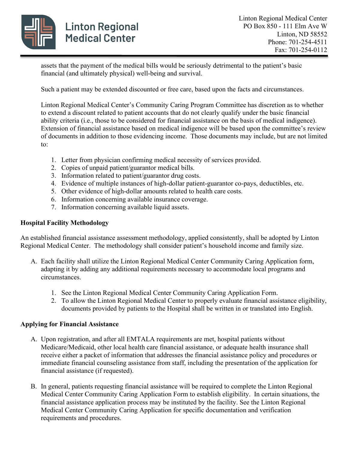

assets that the payment of the medical bills would be seriously detrimental to the patient's basic financial (and ultimately physical) well-being and survival.

Such a patient may be extended discounted or free care, based upon the facts and circumstances.

Linton Regional Medical Center's Community Caring Program Committee has discretion as to whether to extend a discount related to patient accounts that do not clearly qualify under the basic financial ability criteria (i.e., those to be considered for financial assistance on the basis of medical indigence). Extension of financial assistance based on medical indigence will be based upon the committee's review of documents in addition to those evidencing income. Those documents may include, but are not limited to:

- 1. Letter from physician confirming medical necessity of services provided.
- 2. Copies of unpaid patient/guarantor medical bills.
- 3. Information related to patient/guarantor drug costs.
- 4. Evidence of multiple instances of high-dollar patient-guarantor co-pays, deductibles, etc.
- 5. Other evidence of high-dollar amounts related to health care costs.
- 6. Information concerning available insurance coverage.
- 7. Information concerning available liquid assets.

## **Hospital Facility Methodology**

An established financial assistance assessment methodology, applied consistently, shall be adopted by Linton Regional Medical Center. The methodology shall consider patient's household income and family size.

- A. Each facility shall utilize the Linton Regional Medical Center Community Caring Application form, adapting it by adding any additional requirements necessary to accommodate local programs and circumstances.
	- 1. See the Linton Regional Medical Center Community Caring Application Form.
	- 2. To allow the Linton Regional Medical Center to properly evaluate financial assistance eligibility, documents provided by patients to the Hospital shall be written in or translated into English.

#### **Applying for Financial Assistance**

- A. Upon registration, and after all EMTALA requirements are met, hospital patients without Medicare/Medicaid, other local health care financial assistance, or adequate health insurance shall receive either a packet of information that addresses the financial assistance policy and procedures or immediate financial counseling assistance from staff, including the presentation of the application for financial assistance (if requested).
- B. In general, patients requesting financial assistance will be required to complete the Linton Regional Medical Center Community Caring Application Form to establish eligibility. In certain situations, the financial assistance application process may be instituted by the facility. See the Linton Regional Medical Center Community Caring Application for specific documentation and verification requirements and procedures.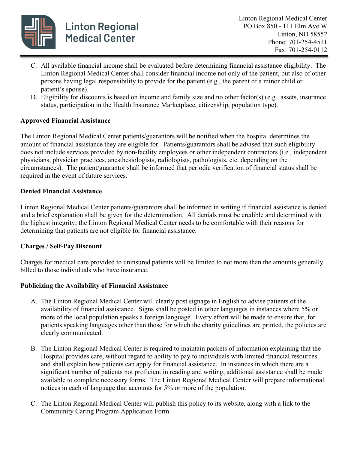

- C. All available financial income shall be evaluated before determining financial assistance eligibility. The Linton Regional Medical Center shall consider financial income not only of the patient, but also of other persons having legal responsibility to provide for the patient (e.g., the parent of a minor child or patient's spouse).
- D. Eligibility for discounts is based on income and family size and no other factor(s) (e.g., assets, insurance status, participation in the Health Insurance Marketplace, citizenship, population type).

#### **Approved Financial Assistance**

The Linton Regional Medical Center patients/guarantors will be notified when the hospital determines the amount of financial assistance they are eligible for. Patients/guarantors shall be advised that such eligibility does not include services provided by non-facility employees or other independent contractors (i.e., independent physicians, physician practices, anesthesiologists, radiologists, pathologists, etc. depending on the circumstances). The patient/guarantor shall be informed that periodic verification of financial status shall be required in the event of future services.

#### **Denied Financial Assistance**

Linton Regional Medical Center patients/guarantors shall be informed in writing if financial assistance is denied and a brief explanation shall be given for the determination. All denials must be credible and determined with the highest integrity; the Linton Regional Medical Center needs to be comfortable with their reasons for determining that patients are not eligible for financial assistance.

#### **Charges / Self-Pay Discount**

Charges for medical care provided to uninsured patients will be limited to not more than the amounts generally billed to those individuals who have insurance.

#### **Publicizing the Availability of Financial Assistance**

- A. The Linton Regional Medical Center will clearly post signage in English to advise patients of the availability of financial assistance. Signs shall be posted in other languages in instances where 5% or more of the local population speaks a foreign language. Every effort will be made to ensure that, for patients speaking languages other than those for which the charity guidelines are printed, the policies are clearly communicated.
- B. The Linton Regional Medical Center is required to maintain packets of information explaining that the Hospital provides care, without regard to ability to pay to individuals with limited financial resources and shall explain how patients can apply for financial assistance. In instances in which there are a significant number of patients not proficient in reading and writing, additional assistance shall be made available to complete necessary forms. The Linton Regional Medical Center will prepare informational notices in each of language that accounts for 5% or more of the population.
- C. The Linton Regional Medical Center will publish this policy to its website, along with a link to the Community Caring Program Application Form.